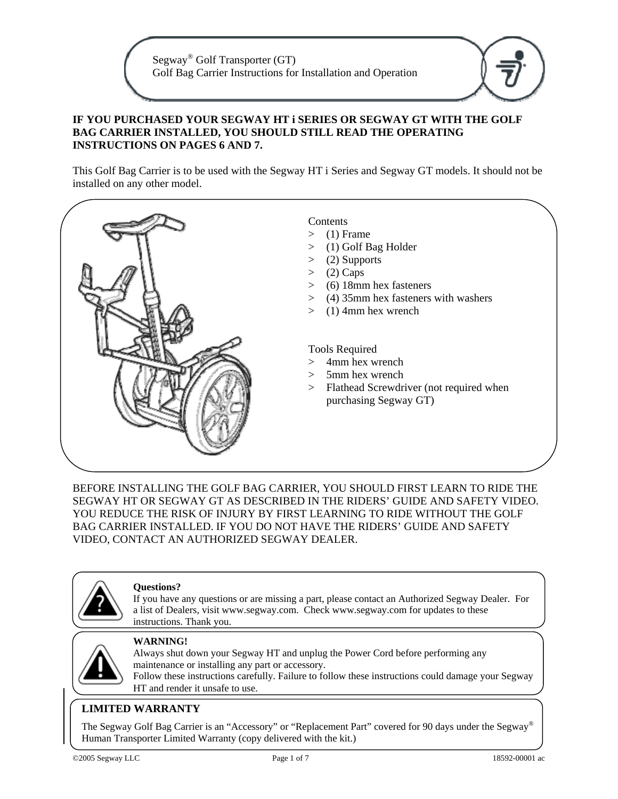Segway® Golf Transporter (GT) Golf Bag Carrier Instructions for Installation and Operation

### **IF YOU PURCHASED YOUR SEGWAY HT i SERIES OR SEGWAY GT WITH THE GOLF BAG CARRIER INSTALLED, YOU SHOULD STILL READ THE OPERATING INSTRUCTIONS ON PAGES 6 AND 7.**

This Golf Bag Carrier is to be used with the Segway HT i Series and Segway GT models. It should not be installed on any other model.



BEFORE INSTALLING THE GOLF BAG CARRIER, YOU SHOULD FIRST LEARN TO RIDE THE SEGWAY HT OR SEGWAY GT AS DESCRIBED IN THE RIDERS' GUIDE AND SAFETY VIDEO. YOU REDUCE THE RISK OF INJURY BY FIRST LEARNING TO RIDE WITHOUT THE GOLF BAG CARRIER INSTALLED. IF YOU DO NOT HAVE THE RIDERS' GUIDE AND SAFETY VIDEO, CONTACT AN AUTHORIZED SEGWAY DEALER.



#### **Questions?**

If you have any questions or are missing a part, please contact an Authorized Segway Dealer. For a list of Dealers, visit www.segway.com. Check www.segway.com for updates to these instructions. Thank you.



#### **WARNING!**

Always shut down your Segway HT and unplug the Power Cord before performing any maintenance or installing any part or accessory. Follow these instructions carefully. Failure to follow these instructions could damage your Segway HT and render it unsafe to use.

#### **LIMITED WARRANTY**

The Segway Golf Bag Carrier is an "Accessory" or "Replacement Part" covered for 90 days under the Segway® Human Transporter Limited Warranty (copy delivered with the kit.)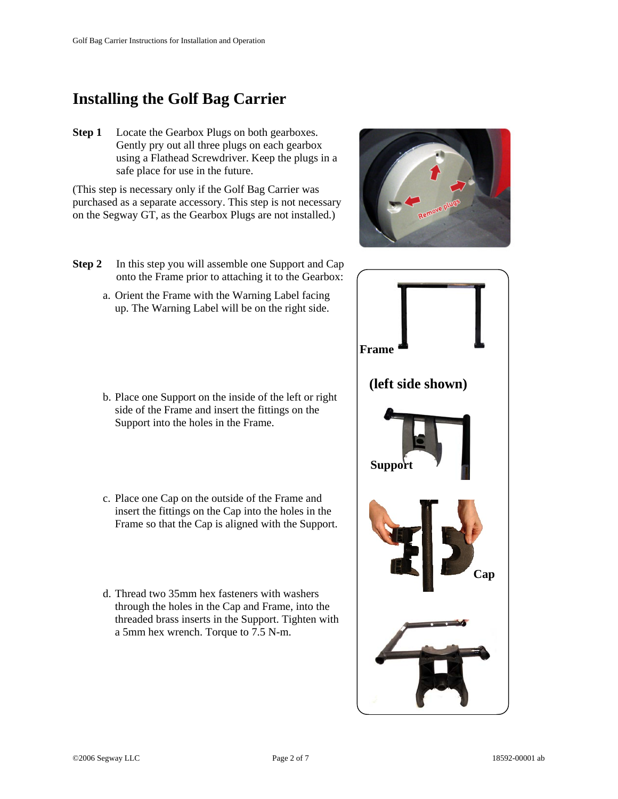# **Installing the Golf Bag Carrier**

**Step 1** Locate the Gearbox Plugs on both gearboxes. Gently pry out all three plugs on each gearbox using a Flathead Screwdriver. Keep the plugs in a safe place for use in the future.

(This step is necessary only if the Golf Bag Carrier was purchased as a separate accessory. This step is not necessary on the Segway GT, as the Gearbox Plugs are not installed.)

- **Step 2** In this step you will assemble one Support and Cap onto the Frame prior to attaching it to the Gearbox:
	- a. Orient the Frame with the Warning Label facing up. The Warning Label will be on the right side.
	- b. Place one Support on the inside of the left or right side of the Frame and insert the fittings on the Support into the holes in the Frame.
	- c. Place one Cap on the outside of the Frame and insert the fittings on the Cap into the holes in the Frame so that the Cap is aligned with the Support.
	- d. Thread two 35mm hex fasteners with washers through the holes in the Cap and Frame, into the threaded brass inserts in the Support. Tighten with a 5mm hex wrench. Torque to 7.5 N-m.



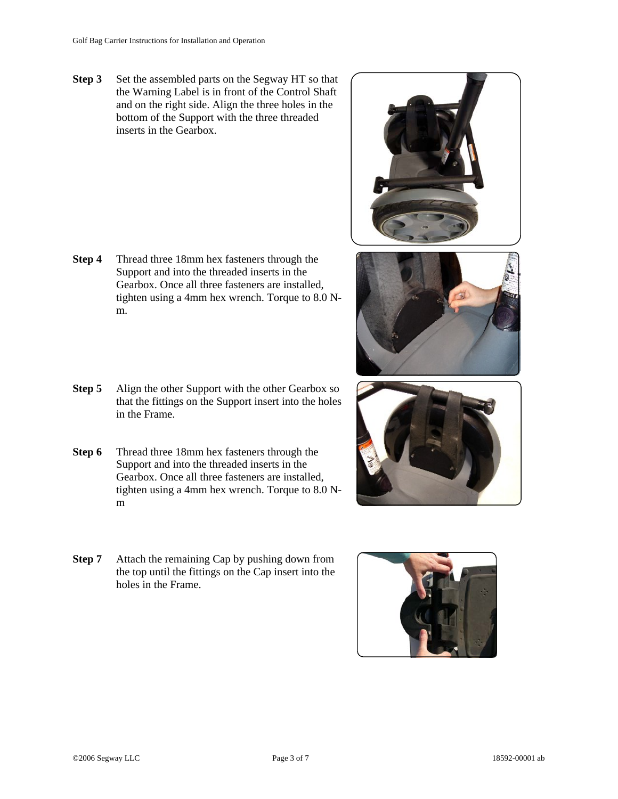**Step 3** Set the assembled parts on the Segway HT so that the Warning Label is in front of the Control Shaft and on the right side. Align the three holes in the bottom of the Support with the three threaded inserts in the Gearbox.

- **Step 4** Thread three 18mm hex fasteners through the Support and into the threaded inserts in the Gearbox. Once all three fasteners are installed, tighten using a 4mm hex wrench. Torque to 8.0 Nm.
- **Step 5** Align the other Support with the other Gearbox so that the fittings on the Support insert into the holes in the Frame.
- **Step 6** Thread three 18mm hex fasteners through the Support and into the threaded inserts in the Gearbox. Once all three fasteners are installed, tighten using a 4mm hex wrench. Torque to 8.0 Nm
- **Step 7** Attach the remaining Cap by pushing down from the top until the fittings on the Cap insert into the holes in the Frame.







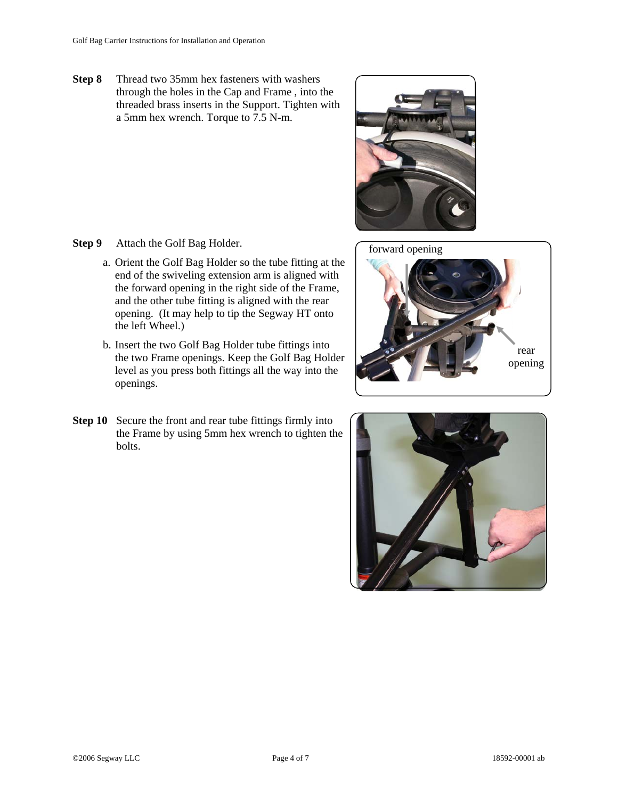**Step 8** Thread two 35mm hex fasteners with washers through the holes in the Cap and Frame , into the threaded brass inserts in the Support. Tighten with a 5mm hex wrench. Torque to 7.5 N-m.

**Step 9** Attach the Golf Bag Holder.

- a. Orient the Golf Bag Holder so the tube fitting at the end of the swiveling extension arm is aligned with the forward opening in the right side of the Frame, and the other tube fitting is aligned with the rear opening. (It may help to tip the Segway HT onto the left Wheel.)
- b. Insert the two Golf Bag Holder tube fittings into the two Frame openings. Keep the Golf Bag Holder level as you press both fittings all the way into the openings.
- **Step 10** Secure the front and rear tube fittings firmly into the Frame by using 5mm hex wrench to tighten the bolts.





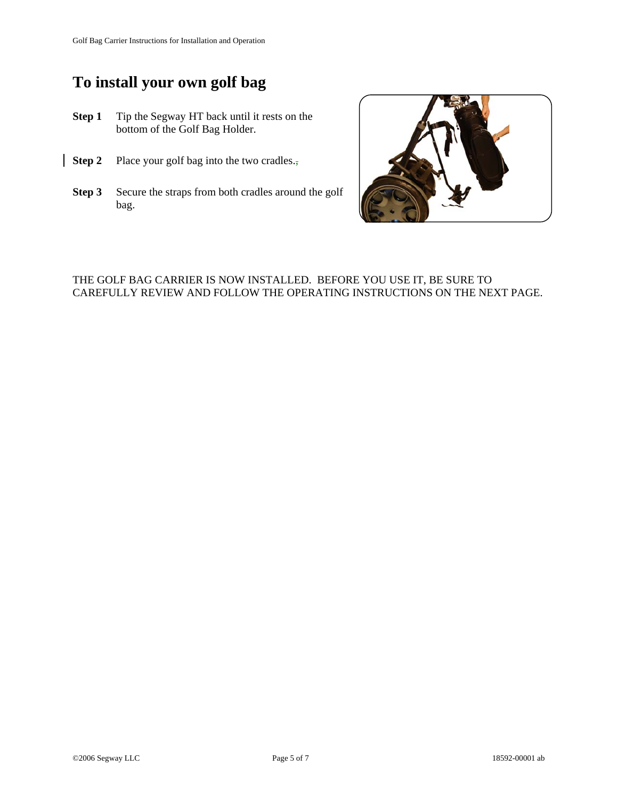# **To install your own golf bag**

- **Step 1** Tip the Segway HT back until it rests on the bottom of the Golf Bag Holder.
- **Step 2** Place your golf bag into the two cradles.,
- **Step 3** Secure the straps from both cradles around the golf bag.



# THE GOLF BAG CARRIER IS NOW INSTALLED. BEFORE YOU USE IT, BE SURE TO CAREFULLY REVIEW AND FOLLOW THE OPERATING INSTRUCTIONS ON THE NEXT PAGE.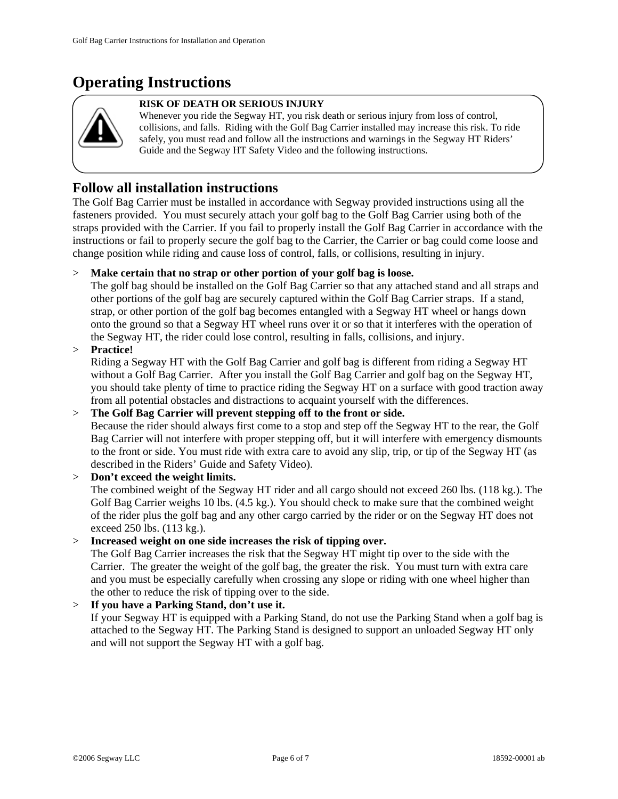# **Operating Instructions**



#### **RISK OF DEATH OR SERIOUS INJURY**

Whenever you ride the Segway HT, you risk death or serious injury from loss of control, collisions, and falls. Riding with the Golf Bag Carrier installed may increase this risk. To ride safely, you must read and follow all the instructions and warnings in the Segway HT Riders' Guide and the Segway HT Safety Video and the following instructions.

# **Follow all installation instructions**

The Golf Bag Carrier must be installed in accordance with Segway provided instructions using all the fasteners provided. You must securely attach your golf bag to the Golf Bag Carrier using both of the straps provided with the Carrier. If you fail to properly install the Golf Bag Carrier in accordance with the instructions or fail to properly secure the golf bag to the Carrier, the Carrier or bag could come loose and change position while riding and cause loss of control, falls, or collisions, resulting in injury.

## > **Make certain that no strap or other portion of your golf bag is loose.**

The golf bag should be installed on the Golf Bag Carrier so that any attached stand and all straps and other portions of the golf bag are securely captured within the Golf Bag Carrier straps. If a stand, strap, or other portion of the golf bag becomes entangled with a Segway HT wheel or hangs down onto the ground so that a Segway HT wheel runs over it or so that it interferes with the operation of the Segway HT, the rider could lose control, resulting in falls, collisions, and injury.

> **Practice!**

Riding a Segway HT with the Golf Bag Carrier and golf bag is different from riding a Segway HT without a Golf Bag Carrier. After you install the Golf Bag Carrier and golf bag on the Segway HT, you should take plenty of time to practice riding the Segway HT on a surface with good traction away from all potential obstacles and distractions to acquaint yourself with the differences.

#### > **The Golf Bag Carrier will prevent stepping off to the front or side.**

Because the rider should always first come to a stop and step off the Segway HT to the rear, the Golf Bag Carrier will not interfere with proper stepping off, but it will interfere with emergency dismounts to the front or side. You must ride with extra care to avoid any slip, trip, or tip of the Segway HT (as described in the Riders' Guide and Safety Video).

### > **Don't exceed the weight limits.** The combined weight of the Segway HT rider and all cargo should not exceed 260 lbs. (118 kg.). The Golf Bag Carrier weighs 10 lbs. (4.5 kg.). You should check to make sure that the combined weight of the rider plus the golf bag and any other cargo carried by the rider or on the Segway HT does not exceed 250 lbs. (113 kg.).

## > **Increased weight on one side increases the risk of tipping over.**

The Golf Bag Carrier increases the risk that the Segway HT might tip over to the side with the Carrier. The greater the weight of the golf bag, the greater the risk. You must turn with extra care and you must be especially carefully when crossing any slope or riding with one wheel higher than the other to reduce the risk of tipping over to the side.

## > **If you have a Parking Stand, don't use it.**

If your Segway HT is equipped with a Parking Stand, do not use the Parking Stand when a golf bag is attached to the Segway HT. The Parking Stand is designed to support an unloaded Segway HT only and will not support the Segway HT with a golf bag.